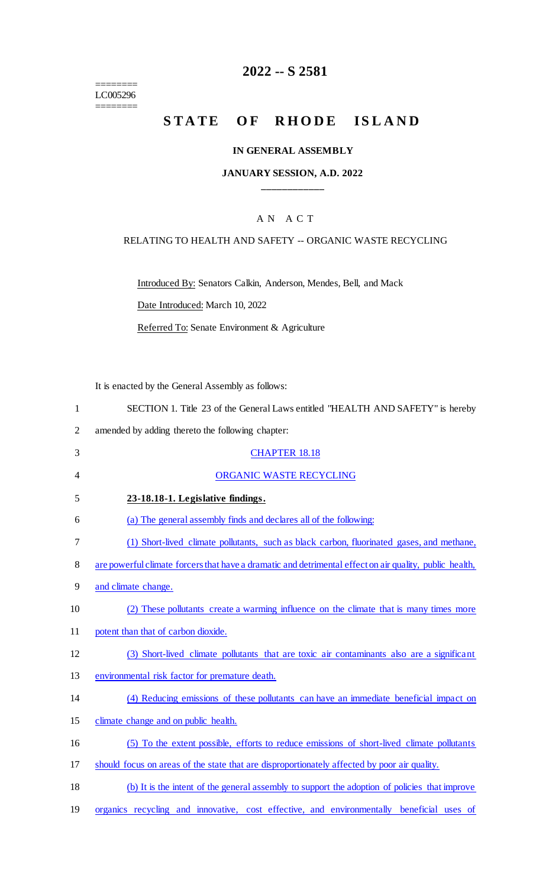======== LC005296 ========

# **2022 -- S 2581**

# STATE OF RHODE ISLAND

#### **IN GENERAL ASSEMBLY**

### **JANUARY SESSION, A.D. 2022 \_\_\_\_\_\_\_\_\_\_\_\_**

### A N A C T

### RELATING TO HEALTH AND SAFETY -- ORGANIC WASTE RECYCLING

Introduced By: Senators Calkin, Anderson, Mendes, Bell, and Mack

Date Introduced: March 10, 2022

Referred To: Senate Environment & Agriculture

It is enacted by the General Assembly as follows:

|  |  | SECTION 1. Title 23 of the General Laws entitled "HEALTH AND SAFETY" is hereby |  |
|--|--|--------------------------------------------------------------------------------|--|
|  |  |                                                                                |  |

- 2 amended by adding thereto the following chapter:
- 3 CHAPTER 18.18 4 ORGANIC WASTE RECYCLING 5 **23-18.18-1. Legislative findings.**  6 (a) The general assembly finds and declares all of the following: 7 (1) Short-lived climate pollutants, such as black carbon, fluorinated gases, and methane, 8 are powerful climate forcers that have a dramatic and detrimental effect on air quality, public health, 9 and climate change. 10 (2) These pollutants create a warming influence on the climate that is many times more 11 potent than that of carbon dioxide. 12 (3) Short-lived climate pollutants that are toxic air contaminants also are a significant 13 environmental risk factor for premature death. 14 (4) Reducing emissions of these pollutants can have an immediate beneficial impact on 15 climate change and on public health. 16 (5) To the extent possible, efforts to reduce emissions of short-lived climate pollutants 17 should focus on areas of the state that are disproportionately affected by poor air quality. 18 (b) It is the intent of the general assembly to support the adoption of policies that improve
- 19 organics recycling and innovative, cost effective, and environmentally beneficial uses of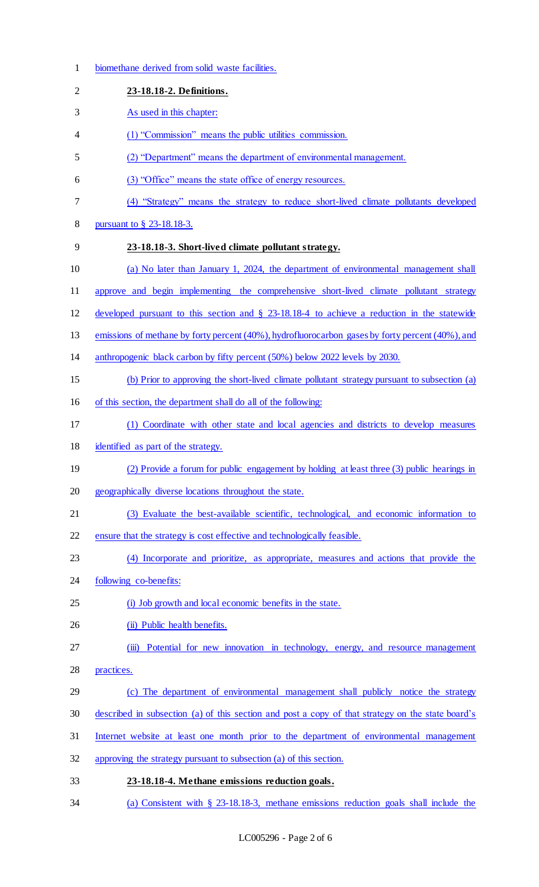biomethane derived from solid waste facilities. **23-18.18-2. Definitions.**  As used in this chapter: (1) "Commission" means the public utilities commission. (2) "Department" means the department of environmental management. (3) "Office" means the state office of energy resources. (4) "Strategy" means the strategy to reduce short-lived climate pollutants developed pursuant to § 23-18.18-3. **23-18.18-3. Short-lived climate pollutant strategy.**  (a) No later than January 1, 2024, the department of environmental management shall approve and begin implementing the comprehensive short-lived climate pollutant strategy developed pursuant to this section and § 23-18.18-4 to achieve a reduction in the statewide emissions of methane by forty percent (40%), hydrofluorocarbon gases by forty percent (40%), and anthropogenic black carbon by fifty percent (50%) below 2022 levels by 2030. (b) Prior to approving the short-lived climate pollutant strategy pursuant to subsection (a) of this section, the department shall do all of the following: (1) Coordinate with other state and local agencies and districts to develop measures identified as part of the strategy. (2) Provide a forum for public engagement by holding at least three (3) public hearings in geographically diverse locations throughout the state. (3) Evaluate the best-available scientific, technological, and economic information to ensure that the strategy is cost effective and technologically feasible. (4) Incorporate and prioritize, as appropriate, measures and actions that provide the 24 following co-benefits: 25 (i) Job growth and local economic benefits in the state. 26 (ii) Public health benefits. (iii) Potential for new innovation in technology, energy, and resource management practices. (c) The department of environmental management shall publicly notice the strategy described in subsection (a) of this section and post a copy of that strategy on the state board's Internet website at least one month prior to the department of environmental management approving the strategy pursuant to subsection (a) of this section. **23-18.18-4. Methane emissions reduction goals.**  (a) Consistent with § 23-18.18-3, methane emissions reduction goals shall include the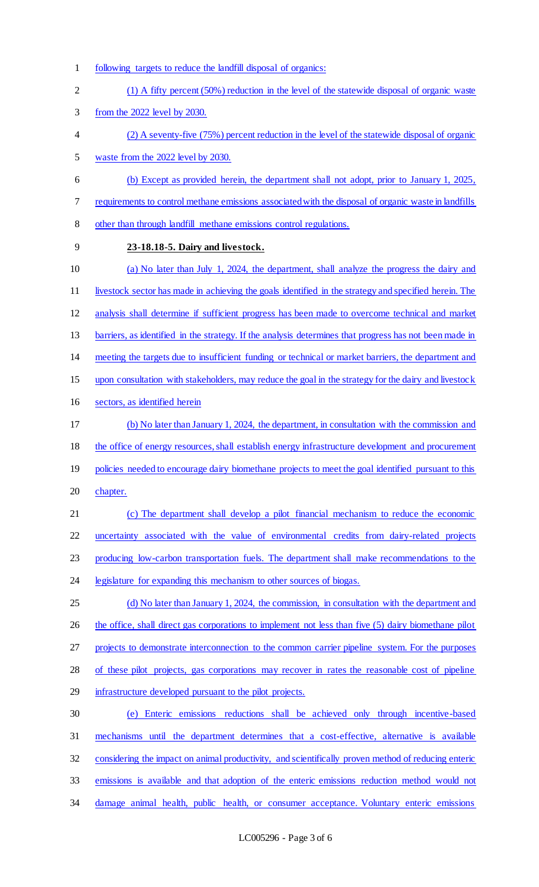- following targets to reduce the landfill disposal of organics: (1) A fifty percent (50%) reduction in the level of the statewide disposal of organic waste from the 2022 level by 2030. (2) A seventy-five (75%) percent reduction in the level of the statewide disposal of organic waste from the 2022 level by 2030. (b) Except as provided herein, the department shall not adopt, prior to January 1, 2025, requirements to control methane emissions associated with the disposal of organic waste in landfills other than through landfill methane emissions control regulations. **23-18.18-5. Dairy and livestock.**  (a) No later than July 1, 2024, the department, shall analyze the progress the dairy and livestock sector has made in achieving the goals identified in the strategy and specified herein. The analysis shall determine if sufficient progress has been made to overcome technical and market 13 barriers, as identified in the strategy. If the analysis determines that progress has not been made in meeting the targets due to insufficient funding or technical or market barriers, the department and upon consultation with stakeholders, may reduce the goal in the strategy for the dairy and livestock sectors, as identified herein (b) No later than January 1, 2024, the department, in consultation with the commission and 18 the office of energy resources, shall establish energy infrastructure development and procurement 19 policies needed to encourage dairy biomethane projects to meet the goal identified pursuant to this 20 chapter. (c) The department shall develop a pilot financial mechanism to reduce the economic uncertainty associated with the value of environmental credits from dairy-related projects producing low-carbon transportation fuels. The department shall make recommendations to the legislature for expanding this mechanism to other sources of biogas. (d) No later than January 1, 2024, the commission, in consultation with the department and 26 the office, shall direct gas corporations to implement not less than five (5) dairy biomethane pilot 27 projects to demonstrate interconnection to the common carrier pipeline system. For the purposes of these pilot projects, gas corporations may recover in rates the reasonable cost of pipeline infrastructure developed pursuant to the pilot projects. (e) Enteric emissions reductions shall be achieved only through incentive-based mechanisms until the department determines that a cost-effective, alternative is available considering the impact on animal productivity, and scientifically proven method of reducing enteric
- emissions is available and that adoption of the enteric emissions reduction method would not
- damage animal health, public health, or consumer acceptance. Voluntary enteric emissions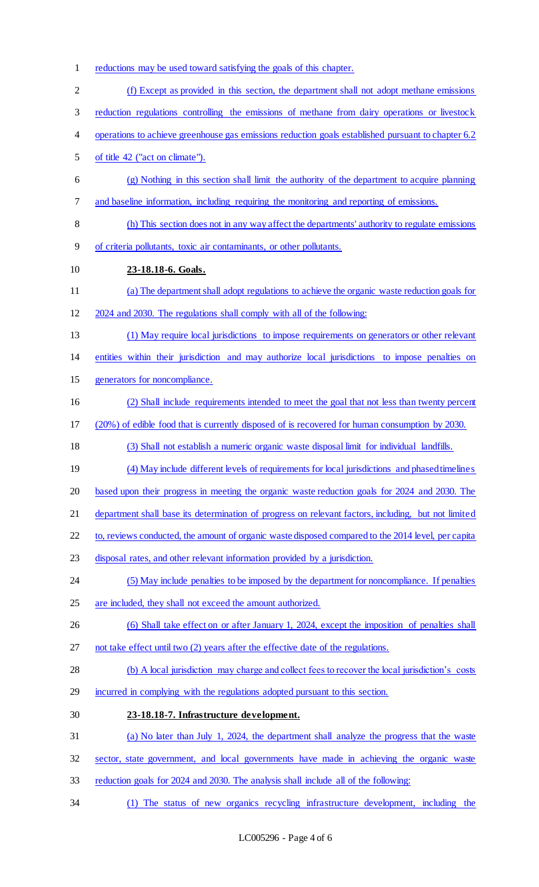reductions may be used toward satisfying the goals of this chapter. (f) Except as provided in this section, the department shall not adopt methane emissions reduction regulations controlling the emissions of methane from dairy operations or livestock operations to achieve greenhouse gas emissions reduction goals established pursuant to chapter 6.2 of title 42 ("act on climate"). (g) Nothing in this section shall limit the authority of the department to acquire planning and baseline information, including requiring the monitoring and reporting of emissions. (h) This section does not in any way affect the departments' authority to regulate emissions of criteria pollutants, toxic air contaminants, or other pollutants. **23-18.18-6. Goals.**  (a) The department shall adopt regulations to achieve the organic waste reduction goals for 2024 and 2030. The regulations shall comply with all of the following: (1) May require local jurisdictions to impose requirements on generators or other relevant entities within their jurisdiction and may authorize local jurisdictions to impose penalties on generators for noncompliance. (2) Shall include requirements intended to meet the goal that not less than twenty percent (20%) of edible food that is currently disposed of is recovered for human consumption by 2030. (3) Shall not establish a numeric organic waste disposal limit for individual landfills. (4) May include different levels of requirements for local jurisdictions and phased timelines based upon their progress in meeting the organic waste reduction goals for 2024 and 2030. The department shall base its determination of progress on relevant factors, including, but not limited to, reviews conducted, the amount of organic waste disposed compared to the 2014 level, per capita disposal rates, and other relevant information provided by a jurisdiction. 24 (5) May include penalties to be imposed by the department for noncompliance. If penalties are included, they shall not exceed the amount authorized. 26 (6) Shall take effect on or after January 1, 2024, except the imposition of penalties shall not take effect until two (2) years after the effective date of the regulations. (b) A local jurisdiction may charge and collect fees to recover the local jurisdiction's costs incurred in complying with the regulations adopted pursuant to this section. **23-18.18-7. Infrastructure development.**  (a) No later than July 1, 2024, the department shall analyze the progress that the waste sector, state government, and local governments have made in achieving the organic waste reduction goals for 2024 and 2030. The analysis shall include all of the following: (1) The status of new organics recycling infrastructure development, including the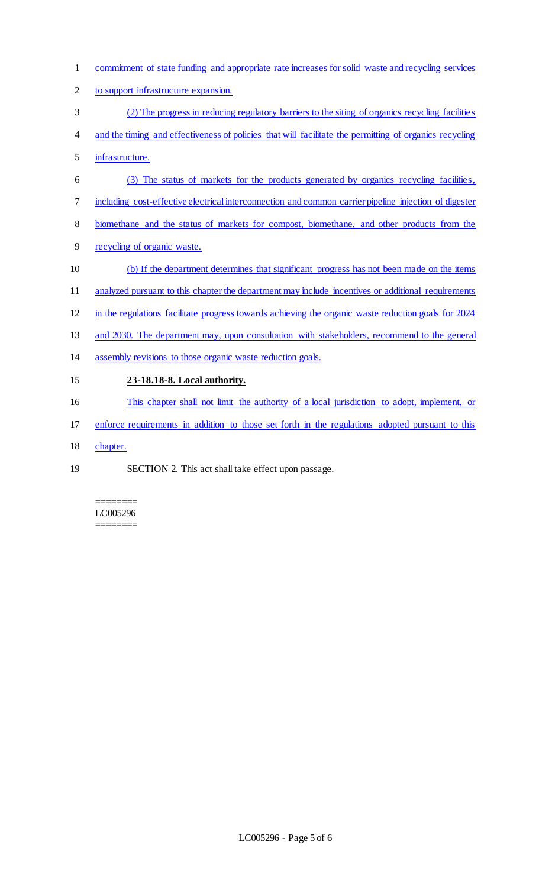- commitment of state funding and appropriate rate increases for solid waste and recycling services
- 2 to support infrastructure expansion.
- (2) The progress in reducing regulatory barriers to the siting of organics recycling facilities
- and the timing and effectiveness of policies that will facilitate the permitting of organics recycling
- infrastructure.
- (3) The status of markets for the products generated by organics recycling facilities,
- including cost-effective electrical interconnection and common carrier pipeline injection of digester
- biomethane and the status of markets for compost, biomethane, and other products from the
- recycling of organic waste.
- (b) If the department determines that significant progress has not been made on the items
- 11 analyzed pursuant to this chapter the department may include incentives or additional requirements
- in the regulations facilitate progress towards achieving the organic waste reduction goals for 2024
- 13 and 2030. The department may, upon consultation with stakeholders, recommend to the general
- assembly revisions to those organic waste reduction goals.

# **23-18.18-8. Local authority.**

- This chapter shall not limit the authority of a local jurisdiction to adopt, implement, or
- 17 enforce requirements in addition to those set forth in the regulations adopted pursuant to this
- chapter.
- SECTION 2. This act shall take effect upon passage.

======== LC005296 ========